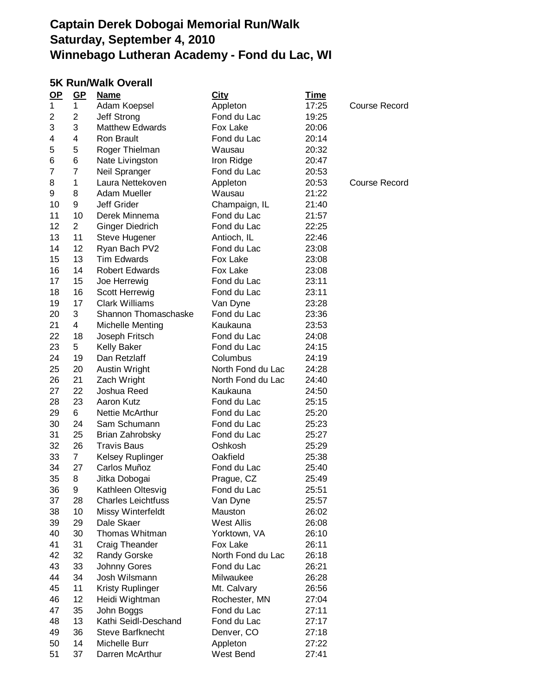#### **5K Run/Walk Overall**

| $OP$           | $GP$           | <u>Name</u>               | <b>City</b>       | <u>Time</u> |               |
|----------------|----------------|---------------------------|-------------------|-------------|---------------|
| 1              | $\mathbf{1}$   | Adam Koepsel              | Appleton          | 17:25       | Course Record |
| 2              | $\overline{2}$ | Jeff Strong               | Fond du Lac       | 19:25       |               |
| 3              | 3              | <b>Matthew Edwards</b>    | Fox Lake          | 20:06       |               |
| 4              | 4              | Ron Brault                | Fond du Lac       | 20:14       |               |
| 5              | 5              | Roger Thielman            | Wausau            | 20:32       |               |
| 6              | 6              | Nate Livingston           | Iron Ridge        | 20:47       |               |
| $\overline{7}$ | 7              | Neil Spranger             | Fond du Lac       | 20:53       |               |
| 8              | 1              | Laura Nettekoven          | Appleton          | 20:53       | Course Record |
| 9              | 8              | Adam Mueller              | Wausau            | 21:22       |               |
| 10             | 9              | <b>Jeff Grider</b>        | Champaign, IL     | 21:40       |               |
| 11             | 10             | Derek Minnema             | Fond du Lac       | 21:57       |               |
| 12             | $\overline{2}$ | Ginger Diedrich           | Fond du Lac       | 22:25       |               |
| 13             | 11             | Steve Hugener             | Antioch, IL       | 22:46       |               |
| 14             | 12             | Ryan Bach PV2             | Fond du Lac       | 23:08       |               |
| 15             | 13             | <b>Tim Edwards</b>        | Fox Lake          | 23:08       |               |
| 16             | 14             | <b>Robert Edwards</b>     | Fox Lake          | 23:08       |               |
| 17             | 15             | Joe Herrewig              | Fond du Lac       | 23:11       |               |
| 18             | 16             | Scott Herrewig            | Fond du Lac       | 23:11       |               |
| 19             | 17             | <b>Clark Williams</b>     | Van Dyne          | 23:28       |               |
| 20             | 3              | Shannon Thomaschaske      | Fond du Lac       | 23:36       |               |
| 21             | 4              | Michelle Menting          | Kaukauna          | 23:53       |               |
| 22             | 18             | Joseph Fritsch            | Fond du Lac       | 24:08       |               |
| 23             | 5              | <b>Kelly Baker</b>        | Fond du Lac       | 24:15       |               |
| 24             | 19             | Dan Retzlaff              | Columbus          | 24:19       |               |
| 25             | 20             | Austin Wright             | North Fond du Lac | 24:28       |               |
| 26             | 21             | Zach Wright               | North Fond du Lac | 24:40       |               |
| 27             | 22             | Joshua Reed               | Kaukauna          | 24:50       |               |
| 28             | 23             | Aaron Kutz                | Fond du Lac       | 25:15       |               |
| 29             | 6              | <b>Nettie McArthur</b>    | Fond du Lac       | 25:20       |               |
| 30             | 24             | Sam Schumann              | Fond du Lac       | 25:23       |               |
| 31             | 25             | Brian Zahrobsky           | Fond du Lac       | 25:27       |               |
| 32             | 26             | Travis Baus               | Oshkosh           | 25:29       |               |
| 33             | $\overline{7}$ | Kelsey Ruplinger          | Oakfield          | 25:38       |               |
| 34             | 27             | Carlos Muñoz              | Fond du Lac       | 25:40       |               |
| 35             | 8              | Jitka Dobogai             | Prague, CZ        | 25:49       |               |
| 36             | 9              | Kathleen Oltesvig         | Fond du Lac       | 25:51       |               |
| 37             | 28             | <b>Charles Leichtfuss</b> | Van Dyne          | 25:57       |               |
| 38             | 10             | Missy Winterfeldt         | Mauston           | 26:02       |               |
| 39             | 29             | Dale Skaer                | <b>West Allis</b> | 26:08       |               |
| 40             | 30             | Thomas Whitman            | Yorktown, VA      | 26:10       |               |
| 41             | 31             | Craig Theander            | Fox Lake          | 26:11       |               |
| 42             | 32             | <b>Randy Gorske</b>       | North Fond du Lac | 26:18       |               |
| 43             | 33             | Johnny Gores              | Fond du Lac       | 26:21       |               |
| 44             | 34             | Josh Wilsmann             | Milwaukee         | 26:28       |               |
| 45             | 11             | Kristy Ruplinger          | Mt. Calvary       | 26:56       |               |
| 46             | 12             | Heidi Wightman            | Rochester, MN     | 27:04       |               |
| 47             | 35             | John Boggs                | Fond du Lac       | 27:11       |               |
| 48             | 13             | Kathi Seidl-Deschand      | Fond du Lac       | 27:17       |               |
| 49             | 36             | <b>Steve Barfknecht</b>   | Denver, CO        | 27:18       |               |
| 50             | 14             | Michelle Burr             | Appleton          | 27:22       |               |
| 51             | 37             | Darren McArthur           | West Bend         | 27:41       |               |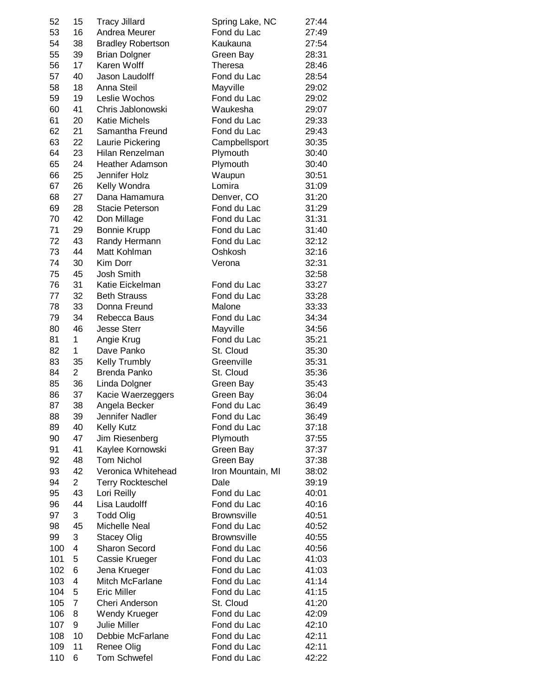| 52  | 15             | <b>Tracy Jillard</b>     | Spring Lake, NC    | 27:44 |
|-----|----------------|--------------------------|--------------------|-------|
| 53  | 16             | Andrea Meurer            | Fond du Lac        | 27:49 |
| 54  | 38             | <b>Bradley Robertson</b> | Kaukauna           | 27:54 |
| 55  | 39             | <b>Brian Dolgner</b>     | Green Bay          | 28:31 |
| 56  | 17             | <b>Karen Wolff</b>       | Theresa            | 28:46 |
| 57  | 40             | Jason Laudolff           | Fond du Lac        | 28:54 |
| 58  | 18             | Anna Steil               | Mayville           | 29:02 |
| 59  | 19             | Leslie Wochos            | Fond du Lac        | 29:02 |
| 60  | 41             | Chris Jablonowski        | Waukesha           | 29:07 |
| 61  | 20             | <b>Katie Michels</b>     | Fond du Lac        | 29:33 |
| 62  | 21             | Samantha Freund          | Fond du Lac        | 29:43 |
| 63  | 22             | Laurie Pickering         | Campbellsport      | 30:35 |
| 64  | 23             | Hilan Renzelman          | Plymouth           | 30:40 |
| 65  | 24             | <b>Heather Adamson</b>   | Plymouth           | 30:40 |
| 66  | 25             | Jennifer Holz            | Waupun             | 30:51 |
| 67  | 26             | Kelly Wondra             | Lomira             | 31:09 |
| 68  | 27             | Dana Hamamura            | Denver, CO         | 31:20 |
| 69  | 28             | Stacie Peterson          | Fond du Lac        | 31:29 |
| 70  | 42             | Don Millage              | Fond du Lac        | 31:31 |
| 71  | 29             | <b>Bonnie Krupp</b>      | Fond du Lac        | 31:40 |
| 72  | 43             | Randy Hermann            | Fond du Lac        | 32:12 |
|     | 44             | Matt Kohlman             | Oshkosh            |       |
| 73  |                |                          |                    | 32:16 |
| 74  | 30             | Kim Dorr                 | Verona             | 32:31 |
| 75  | 45             | <b>Josh Smith</b>        |                    | 32:58 |
| 76  | 31             | Katie Eickelman          | Fond du Lac        | 33:27 |
| 77  | 32             | <b>Beth Strauss</b>      | Fond du Lac        | 33:28 |
| 78  | 33             | Donna Freund             | Malone             | 33:33 |
| 79  | 34             | Rebecca Baus             | Fond du Lac        | 34:34 |
| 80  | 46             | <b>Jesse Sterr</b>       | Mayville           | 34:56 |
| 81  | 1              | Angie Krug               | Fond du Lac        | 35:21 |
| 82  | 1              | Dave Panko               | St. Cloud          | 35:30 |
| 83  | 35             | Kelly Trumbly            | Greenville         | 35:31 |
| 84  | 2              | Brenda Panko             | St. Cloud          | 35:36 |
| 85  | 36             | Linda Dolgner            | Green Bay          | 35:43 |
| 86  | 37             | Kacie Waerzeggers        | Green Bay          | 36:04 |
| 87  | 38             | Angela Becker            | Fond du Lac        | 36:49 |
| 88  | 39             | Jennifer Nadler          | Fond du Lac        | 36:49 |
| 89  | 40             | <b>Kelly Kutz</b>        | Fond du Lac        | 37:18 |
| 90  | 47             | Jim Riesenberg           | Plymouth           | 37:55 |
| 91  | 41             | Kaylee Kornowski         | Green Bay          | 37:37 |
| 92  | 48             | <b>Tom Nichol</b>        | Green Bay          | 37:38 |
| 93  | 42             | Veronica Whitehead       | Iron Mountain, MI  | 38:02 |
| 94  | $\overline{2}$ | <b>Terry Rockteschel</b> | Dale               | 39:19 |
| 95  | 43             | Lori Reilly              | Fond du Lac        | 40:01 |
| 96  | 44             | Lisa Laudolff            | Fond du Lac        | 40:16 |
| 97  | 3              | <b>Todd Olig</b>         | <b>Brownsville</b> | 40:51 |
| 98  | 45             | Michelle Neal            | Fond du Lac        | 40:52 |
| 99  | 3              | <b>Stacey Olig</b>       | <b>Brownsville</b> | 40:55 |
| 100 | 4              | <b>Sharon Secord</b>     | Fond du Lac        | 40:56 |
| 101 | 5              | Cassie Krueger           | Fond du Lac        | 41:03 |
| 102 | 6              | Jena Krueger             | Fond du Lac        | 41:03 |
| 103 | 4              | Mitch McFarlane          | Fond du Lac        | 41:14 |
| 104 | 5              | <b>Eric Miller</b>       | Fond du Lac        | 41:15 |
|     | $\overline{7}$ |                          |                    |       |
| 105 |                | Cheri Anderson           | St. Cloud          | 41:20 |
| 106 | 8              | Wendy Krueger            | Fond du Lac        | 42:09 |
| 107 | 9              | <b>Julie Miller</b>      | Fond du Lac        | 42:10 |
| 108 | 10             | Debbie McFarlane         | Fond du Lac        | 42:11 |
| 109 | 11             | Renee Olig               | Fond du Lac        | 42:11 |
| 110 | 6              | <b>Tom Schwefel</b>      | Fond du Lac        | 42:22 |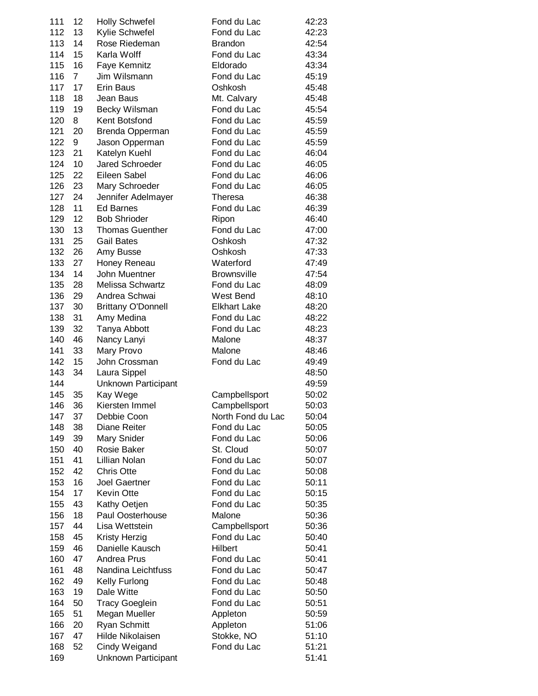| 111 | 12 | <b>Holly Schwefel</b>     | Fond du Lac         | 42:23 |
|-----|----|---------------------------|---------------------|-------|
| 112 | 13 | Kylie Schwefel            | Fond du Lac         | 42:23 |
| 113 | 14 | Rose Riedeman             | <b>Brandon</b>      | 42:54 |
| 114 | 15 | Karla Wolff               | Fond du Lac         | 43:34 |
| 115 | 16 | Faye Kemnitz              | Eldorado            | 43:34 |
| 116 | 7  | Jim Wilsmann              | Fond du Lac         | 45:19 |
| 117 | 17 | Erin Baus                 | Oshkosh             | 45:48 |
| 118 | 18 | Jean Baus                 | Mt. Calvary         | 45:48 |
| 119 | 19 | Becky Wilsman             | Fond du Lac         | 45:54 |
| 120 | 8  | Kent Botsfond             | Fond du Lac         | 45:59 |
| 121 | 20 | Brenda Opperman           | Fond du Lac         | 45:59 |
| 122 | 9  | Jason Opperman            | Fond du Lac         | 45:59 |
| 123 | 21 | Katelyn Kuehl             | Fond du Lac         | 46:04 |
| 124 | 10 | <b>Jared Schroeder</b>    | Fond du Lac         | 46:05 |
| 125 | 22 | Eileen Sabel              | Fond du Lac         | 46:06 |
| 126 | 23 | Mary Schroeder            | Fond du Lac         | 46:05 |
| 127 | 24 | Jennifer Adelmayer        | Theresa             | 46:38 |
| 128 | 11 | <b>Ed Barnes</b>          | Fond du Lac         | 46:39 |
| 129 | 12 | <b>Bob Shrioder</b>       | Ripon               | 46:40 |
| 130 | 13 | <b>Thomas Guenther</b>    | Fond du Lac         | 47:00 |
|     | 25 | <b>Gail Bates</b>         | Oshkosh             |       |
| 131 |    |                           |                     | 47:32 |
| 132 | 26 | Amy Busse                 | Oshkosh             | 47:33 |
| 133 | 27 | Honey Reneau              | Waterford           | 47:49 |
| 134 | 14 | John Muentner             | <b>Brownsville</b>  | 47:54 |
| 135 | 28 | Melissa Schwartz          | Fond du Lac         | 48:09 |
| 136 | 29 | Andrea Schwai             | West Bend           | 48:10 |
| 137 | 30 | <b>Brittany O'Donnell</b> | <b>Elkhart Lake</b> | 48:20 |
| 138 | 31 | Amy Medina                | Fond du Lac         | 48:22 |
| 139 | 32 | Tanya Abbott              | Fond du Lac         | 48:23 |
| 140 | 46 | Nancy Lanyi               | Malone              | 48:37 |
| 141 | 33 | Mary Provo                | Malone              | 48:46 |
| 142 | 15 | John Crossman             | Fond du Lac         | 49:49 |
| 143 | 34 | Laura Sippel              |                     | 48:50 |
| 144 |    | Unknown Participant       |                     | 49:59 |
| 145 | 35 | Kay Wege                  | Campbellsport       | 50:02 |
| 146 | 36 | Kiersten Immel            | Campbellsport       | 50:03 |
| 147 | 37 | Debbie Coon               | North Fond du Lac   | 50:04 |
| 148 | 38 | Diane Reiter              | Fond du Lac         | 50:05 |
| 149 | 39 | Mary Snider               | Fond du Lac         | 50:06 |
| 150 | 40 | Rosie Baker               | St. Cloud           | 50:07 |
| 151 | 41 | Lillian Nolan             | Fond du Lac         | 50:07 |
| 152 | 42 | <b>Chris Otte</b>         | Fond du Lac         | 50:08 |
| 153 | 16 | <b>Joel Gaertner</b>      | Fond du Lac         | 50:11 |
| 154 | 17 | <b>Kevin Otte</b>         | Fond du Lac         | 50:15 |
| 155 | 43 | Kathy Oetjen              | Fond du Lac         | 50:35 |
| 156 | 18 | Paul Oosterhouse          | Malone              | 50:36 |
| 157 | 44 | Lisa Wettstein            | Campbellsport       | 50:36 |
| 158 | 45 | Kristy Herzig             | Fond du Lac         | 50:40 |
| 159 | 46 | Danielle Kausch           | Hilbert             | 50:41 |
| 160 | 47 | Andrea Prus               | Fond du Lac         | 50:41 |
| 161 | 48 | Nandina Leichtfuss        | Fond du Lac         | 50:47 |
| 162 | 49 | Kelly Furlong             | Fond du Lac         | 50:48 |
| 163 | 19 | Dale Witte                | Fond du Lac         | 50:50 |
| 164 | 50 | <b>Tracy Goeglein</b>     | Fond du Lac         | 50:51 |
| 165 | 51 | Megan Mueller             | Appleton            | 50:59 |
| 166 | 20 | <b>Ryan Schmitt</b>       | Appleton            | 51:06 |
| 167 | 47 | Hilde Nikolaisen          | Stokke, NO          | 51:10 |
| 168 | 52 | Cindy Weigand             | Fond du Lac         | 51:21 |
| 169 |    |                           |                     | 51:41 |
|     |    | Unknown Participant       |                     |       |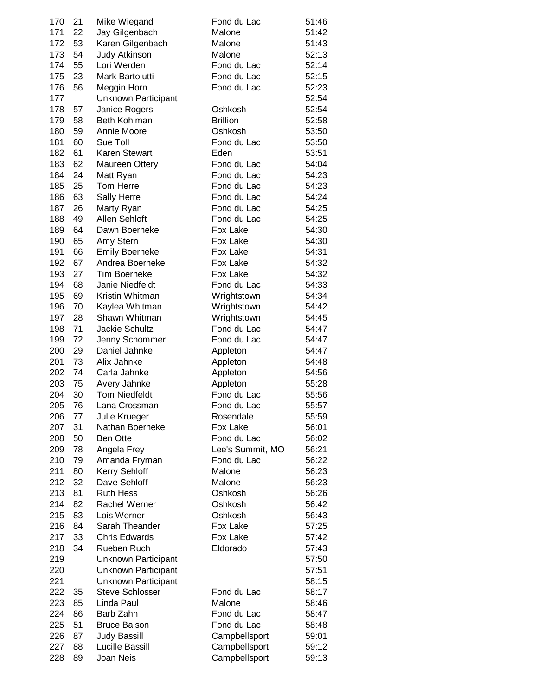| 170 | 21 | Mike Wiegand           | Fond du Lac      | 51:46 |
|-----|----|------------------------|------------------|-------|
| 171 | 22 | Jay Gilgenbach         | Malone           | 51:42 |
| 172 | 53 | Karen Gilgenbach       | Malone           | 51:43 |
| 173 | 54 | Judy Atkinson          | Malone           | 52:13 |
| 174 | 55 | Lori Werden            | Fond du Lac      | 52:14 |
| 175 | 23 | Mark Bartolutti        | Fond du Lac      | 52:15 |
| 176 | 56 | Meggin Horn            | Fond du Lac      | 52:23 |
| 177 |    | Unknown Participant    |                  | 52:54 |
| 178 | 57 | Janice Rogers          | Oshkosh          | 52:54 |
| 179 | 58 | <b>Beth Kohlman</b>    | <b>Brillion</b>  | 52:58 |
| 180 | 59 | Annie Moore            | Oshkosh          | 53:50 |
| 181 | 60 | Sue Toll               | Fond du Lac      | 53:50 |
| 182 | 61 | <b>Karen Stewart</b>   | Eden             | 53:51 |
| 183 | 62 | <b>Maureen Ottery</b>  | Fond du Lac      | 54:04 |
| 184 | 24 | Matt Ryan              | Fond du Lac      | 54:23 |
| 185 | 25 | Tom Herre              | Fond du Lac      | 54:23 |
| 186 | 63 | Sally Herre            | Fond du Lac      | 54:24 |
| 187 | 26 | Marty Ryan             | Fond du Lac      | 54:25 |
| 188 | 49 | Allen Sehloft          | Fond du Lac      | 54:25 |
| 189 | 64 | Dawn Boerneke          | Fox Lake         | 54:30 |
| 190 | 65 | Amy Stern              | Fox Lake         | 54:30 |
| 191 | 66 | <b>Emily Boerneke</b>  | Fox Lake         | 54:31 |
| 192 | 67 | Andrea Boerneke        | Fox Lake         | 54:32 |
| 193 | 27 | <b>Tim Boerneke</b>    | Fox Lake         | 54:32 |
| 194 | 68 | Janie Niedfeldt        | Fond du Lac      | 54:33 |
| 195 | 69 | Kristin Whitman        | Wrightstown      | 54:34 |
| 196 | 70 | Kaylea Whitman         | Wrightstown      | 54:42 |
| 197 | 28 | Shawn Whitman          | Wrightstown      | 54:45 |
| 198 | 71 | <b>Jackie Schultz</b>  | Fond du Lac      | 54:47 |
| 199 | 72 | Jenny Schommer         | Fond du Lac      | 54:47 |
| 200 | 29 | Daniel Jahnke          | Appleton         | 54:47 |
| 201 | 73 | Alix Jahnke            | Appleton         | 54:48 |
| 202 | 74 | Carla Jahnke           | Appleton         | 54:56 |
| 203 | 75 | Avery Jahnke           | Appleton         | 55:28 |
| 204 | 30 | <b>Tom Niedfeldt</b>   | Fond du Lac      | 55:56 |
| 205 | 76 | Lana Crossman          | Fond du Lac      | 55:57 |
| 206 | 77 | Julie Krueger          | Rosendale        | 55:59 |
| 207 | 31 | Nathan Boerneke        | Fox Lake         | 56:01 |
| 208 | 50 | <b>Ben Otte</b>        | Fond du Lac      | 56:02 |
| 209 | 78 | Angela Frey            | Lee's Summit, MO | 56:21 |
| 210 | 79 | Amanda Fryman          | Fond du Lac      | 56:22 |
| 211 | 80 | <b>Kerry Sehloff</b>   | Malone           | 56:23 |
| 212 | 32 | Dave Sehloff           | Malone           | 56:23 |
| 213 | 81 | <b>Ruth Hess</b>       | Oshkosh          | 56:26 |
| 214 | 82 | <b>Rachel Werner</b>   | Oshkosh          | 56:42 |
| 215 | 83 | Lois Werner            | Oshkosh          | 56:43 |
| 216 | 84 | Sarah Theander         | Fox Lake         | 57:25 |
| 217 | 33 | <b>Chris Edwards</b>   | Fox Lake         | 57:42 |
| 218 | 34 | Rueben Ruch            | Eldorado         | 57:43 |
| 219 |    | Unknown Participant    |                  | 57:50 |
| 220 |    | Unknown Participant    |                  | 57:51 |
| 221 |    | Unknown Participant    |                  | 58:15 |
| 222 | 35 | <b>Steve Schlosser</b> | Fond du Lac      | 58:17 |
| 223 | 85 | Linda Paul             | Malone           | 58:46 |
| 224 | 86 | Barb Zahn              | Fond du Lac      | 58:47 |
| 225 | 51 | <b>Bruce Balson</b>    | Fond du Lac      | 58:48 |
| 226 | 87 | <b>Judy Bassill</b>    | Campbellsport    | 59:01 |
| 227 | 88 | Lucille Bassill        | Campbellsport    | 59:12 |
| 228 | 89 | Joan Neis              | Campbellsport    | 59:13 |
|     |    |                        |                  |       |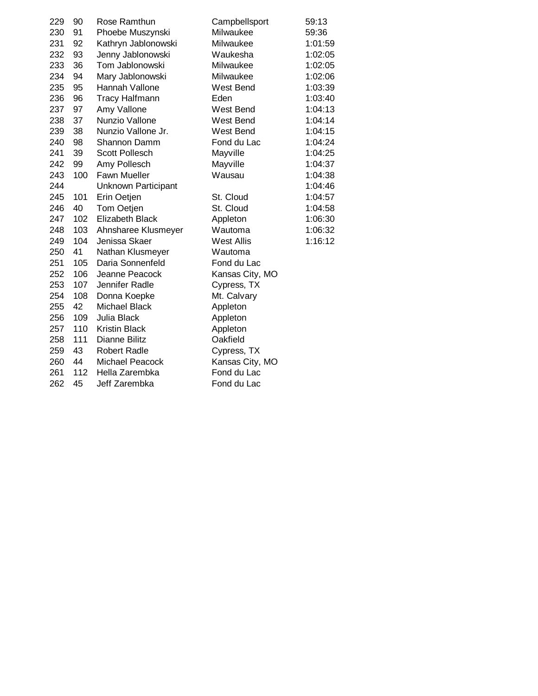| 229 | 90  | Rose Ramthun          | Campbellsport     | 59:13   |
|-----|-----|-----------------------|-------------------|---------|
| 230 | 91  | Phoebe Muszynski      | Milwaukee         | 59:36   |
| 231 | 92  | Kathryn Jablonowski   | Milwaukee         | 1:01:59 |
| 232 | 93  | Jenny Jablonowski     | Waukesha          | 1:02:05 |
| 233 | 36  | Tom Jablonowski       | Milwaukee         | 1:02:05 |
| 234 | 94  | Mary Jablonowski      | Milwaukee         | 1:02:06 |
| 235 | 95  | Hannah Vallone        | West Bend         | 1:03:39 |
| 236 | 96  | <b>Tracy Halfmann</b> | Eden              | 1:03:40 |
| 237 | 97  | Amy Vallone           | West Bend         | 1:04:13 |
| 238 | 37  | Nunzio Vallone        | West Bend         | 1:04:14 |
| 239 | 38  | Nunzio Vallone Jr.    | West Bend         | 1:04:15 |
| 240 | 98  | Shannon Damm          | Fond du Lac       | 1:04:24 |
| 241 | 39  | <b>Scott Pollesch</b> | Mayville          | 1:04:25 |
| 242 | 99  | Amy Pollesch          | Mayville          | 1:04:37 |
| 243 | 100 | <b>Fawn Mueller</b>   | Wausau            | 1:04:38 |
| 244 |     | Unknown Participant   |                   | 1:04:46 |
| 245 | 101 | Erin Oetjen           | St. Cloud         | 1:04:57 |
| 246 | 40  | Tom Oetjen            | St. Cloud         | 1:04:58 |
| 247 | 102 | Elizabeth Black       | Appleton          | 1:06:30 |
| 248 | 103 | Ahnsharee Klusmeyer   | Wautoma           | 1:06:32 |
| 249 | 104 | Jenissa Skaer         | <b>West Allis</b> | 1:16:12 |
| 250 | 41  | Nathan Klusmeyer      | Wautoma           |         |
| 251 | 105 | Daria Sonnenfeld      | Fond du Lac       |         |
| 252 | 106 | Jeanne Peacock        | Kansas City, MO   |         |
| 253 | 107 | Jennifer Radle        | Cypress, TX       |         |
| 254 | 108 | Donna Koepke          | Mt. Calvary       |         |
| 255 | 42  | Michael Black         | Appleton          |         |
| 256 | 109 | Julia Black           | Appleton          |         |
| 257 | 110 | <b>Kristin Black</b>  | Appleton          |         |
| 258 | 111 | Dianne Bilitz         | Oakfield          |         |
| 259 | 43  | <b>Robert Radle</b>   | Cypress, TX       |         |
| 260 | 44  | Michael Peacock       | Kansas City, MO   |         |
| 261 | 112 | Hella Zarembka        | Fond du Lac       |         |
| 262 | 45  | Jeff Zarembka         | Fond du Lac       |         |
|     |     |                       |                   |         |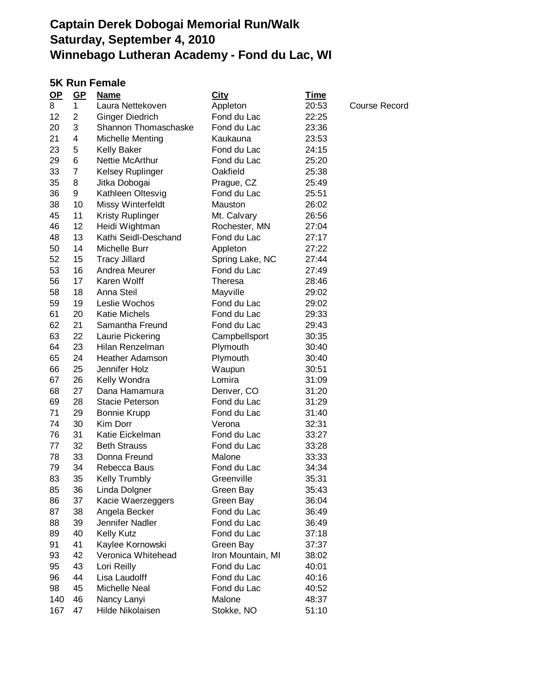#### **5K Run Female**

| $OP$ | $GP$           | <u>Name</u>             | <b>City</b>       | <u>Time</u> |                      |
|------|----------------|-------------------------|-------------------|-------------|----------------------|
| 8    | 1              | Laura Nettekoven        | Appleton          | 20:53       | <b>Course Record</b> |
| 12   | $\overline{2}$ | Ginger Diedrich         | Fond du Lac       | 22:25       |                      |
| 20   | 3              | Shannon Thomaschaske    | Fond du Lac       | 23:36       |                      |
| 21   | 4              | <b>Michelle Menting</b> | Kaukauna          | 23:53       |                      |
| 23   | 5              | <b>Kelly Baker</b>      | Fond du Lac       | 24:15       |                      |
| 29   | 6              | Nettie McArthur         | Fond du Lac       | 25:20       |                      |
| 33   | 7              | Kelsey Ruplinger        | Oakfield          | 25:38       |                      |
| 35   | 8              | Jitka Dobogai           | Prague, CZ        | 25:49       |                      |
| 36   | 9              | Kathleen Oltesvig       | Fond du Lac       | 25:51       |                      |
| 38   | 10             | Missy Winterfeldt       | Mauston           | 26:02       |                      |
| 45   | 11             | <b>Kristy Ruplinger</b> | Mt. Calvary       | 26:56       |                      |
| 46   | 12             | Heidi Wightman          | Rochester, MN     | 27:04       |                      |
| 48   | 13             | Kathi Seidl-Deschand    | Fond du Lac       | 27:17       |                      |
| 50   | 14             | Michelle Burr           | Appleton          | 27:22       |                      |
| 52   | 15             | <b>Tracy Jillard</b>    | Spring Lake, NC   | 27:44       |                      |
| 53   | 16             | Andrea Meurer           | Fond du Lac       | 27:49       |                      |
| 56   | 17             | Karen Wolff             | Theresa           | 28:46       |                      |
| 58   | 18             | Anna Steil              | Mayville          | 29:02       |                      |
| 59   | 19             | Leslie Wochos           | Fond du Lac       | 29:02       |                      |
| 61   | 20             | <b>Katie Michels</b>    | Fond du Lac       | 29:33       |                      |
| 62   | 21             | Samantha Freund         | Fond du Lac       | 29:43       |                      |
| 63   | 22             | Laurie Pickering        | Campbellsport     | 30:35       |                      |
| 64   | 23             | Hilan Renzelman         | Plymouth          | 30:40       |                      |
| 65   | 24             | <b>Heather Adamson</b>  | Plymouth          | 30:40       |                      |
| 66   | 25             | Jennifer Holz           | Waupun            | 30:51       |                      |
| 67   | 26             | Kelly Wondra            | Lomira            | 31:09       |                      |
| 68   | 27             | Dana Hamamura           | Denver, CO        | 31:20       |                      |
| 69   | 28             | <b>Stacie Peterson</b>  | Fond du Lac       | 31:29       |                      |
| 71   | 29             | <b>Bonnie Krupp</b>     | Fond du Lac       | 31:40       |                      |
| 74   | 30             | Kim Dorr                | Verona            | 32:31       |                      |
| 76   | 31             | Katie Eickelman         | Fond du Lac       | 33:27       |                      |
| 77   | 32             | <b>Beth Strauss</b>     | Fond du Lac       | 33:28       |                      |
| 78   | 33             | Donna Freund            | Malone            | 33:33       |                      |
| 79   | 34             | Rebecca Baus            | Fond du Lac       | 34:34       |                      |
| 83   | 35             | <b>Kelly Trumbly</b>    | Greenville        | 35:31       |                      |
| 85   | 36             | Linda Dolgner           | Green Bay         | 35:43       |                      |
| 86   | 37             | Kacie Waerzeggers       | Green Bay         | 36:04       |                      |
| 87   | 38             | Angela Becker           | Fond du Lac       | 36:49       |                      |
| 88   | 39             | Jennifer Nadler         | Fond du Lac       | 36:49       |                      |
| 89   | 40             | <b>Kelly Kutz</b>       | Fond du Lac       | 37:18       |                      |
| 91   | 41             | Kaylee Kornowski        | Green Bay         | 37:37       |                      |
| 93   | 42             | Veronica Whitehead      | Iron Mountain, MI | 38:02       |                      |
| 95   | 43             | Lori Reilly             | Fond du Lac       | 40:01       |                      |
| 96   | 44             | Lisa Laudolff           | Fond du Lac       | 40:16       |                      |
| 98   | 45             | Michelle Neal           | Fond du Lac       | 40:52       |                      |
| 140  | 46             | Nancy Lanyi             | Malone            | 48:37       |                      |
| 167  | 47             | Hilde Nikolaisen        | Stokke, NO        | 51:10       |                      |
|      |                |                         |                   |             |                      |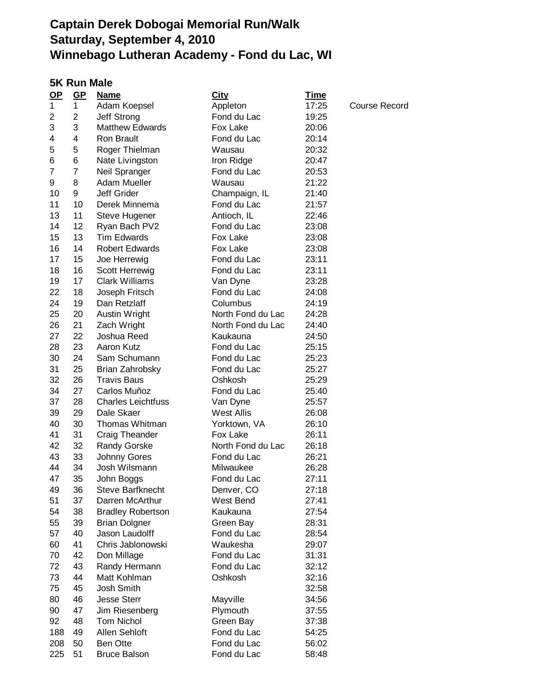### **5K Run Male**

| $OP$ | $GP$         | <u>Name</u>               | <b>City</b>                   | <u>Time</u> |               |
|------|--------------|---------------------------|-------------------------------|-------------|---------------|
| 1    | $\mathbf{1}$ | Adam Koepsel              | Appleton                      | 17:25       | Course Record |
| 2    | 2            | Jeff Strong               | Fond du Lac                   | 19:25       |               |
| 3    | 3            | <b>Matthew Edwards</b>    | Fox Lake                      | 20:06       |               |
| 4    | 4            | Ron Brault                | Fond du Lac                   | 20:14       |               |
| 5    | 5            | Roger Thielman            | Wausau                        | 20:32       |               |
| 6    | 6            | Nate Livingston           | Iron Ridge                    | 20:47       |               |
| 7    | 7            | Neil Spranger             | Fond du Lac                   | 20:53       |               |
| 9    | 8            | Adam Mueller              | Wausau                        | 21:22       |               |
| 10   | 9            | <b>Jeff Grider</b>        | Champaign, IL                 | 21:40       |               |
| 11   | 10           | Derek Minnema             | Fond du Lac                   | 21:57       |               |
| 13   | 11           | Steve Hugener             | Antioch, IL                   | 22:46       |               |
| 14   | 12           | Ryan Bach PV2             | Fond du Lac                   | 23:08       |               |
| 15   | 13           | <b>Tim Edwards</b>        | Fox Lake                      | 23:08       |               |
| 16   | 14           | <b>Robert Edwards</b>     | Fox Lake                      | 23:08       |               |
| 17   | 15           | Joe Herrewig              | Fond du Lac                   | 23:11       |               |
| 18   | 16           | Scott Herrewig            | Fond du Lac                   | 23:11       |               |
| 19   | 17           | <b>Clark Williams</b>     | Van Dyne                      | 23:28       |               |
| 22   | 18           | Joseph Fritsch            | Fond du Lac                   | 24:08       |               |
| 24   | 19           | Dan Retzlaff              | Columbus                      | 24:19       |               |
| 25   | 20           | Austin Wright             | North Fond du Lac             | 24:28       |               |
| 26   | 21           | Zach Wright               | North Fond du Lac             | 24:40       |               |
| 27   | 22           | Joshua Reed               | Kaukauna                      | 24:50       |               |
| 28   | 23           | Aaron Kutz                | Fond du Lac                   | 25:15       |               |
| 30   | 24           | Sam Schumann              | Fond du Lac                   | 25:23       |               |
| 31   | 25           | Brian Zahrobsky           | Fond du Lac                   | 25:27       |               |
| 32   | 26           | <b>Travis Baus</b>        | Oshkosh                       | 25:29       |               |
| 34   | 27           | Carlos Muñoz              | Fond du Lac                   | 25:40       |               |
| 37   | 28           | <b>Charles Leichtfuss</b> |                               |             |               |
| 39   | 29           | Dale Skaer                | Van Dyne<br><b>West Allis</b> | 25:57       |               |
|      |              |                           |                               | 26:08       |               |
| 40   | 30           | Thomas Whitman            | Yorktown, VA                  | 26:10       |               |
| 41   | 31           | Craig Theander            | Fox Lake                      | 26:11       |               |
| 42   | 32           | <b>Randy Gorske</b>       | North Fond du Lac             | 26:18       |               |
| 43   | 33           | <b>Johnny Gores</b>       | Fond du Lac                   | 26:21       |               |
| 44   | 34           | Josh Wilsmann             | Milwaukee                     | 26:28       |               |
| 47   | 35           | John Boggs                | Fond du Lac                   | 27:11       |               |
| 49   | 36           | <b>Steve Barfknecht</b>   | Denver, CO                    | 27:18       |               |
| 51   | 37           | Darren McArthur           | West Bend                     | 27:41       |               |
| 54   | 38           | <b>Bradley Robertson</b>  | Kaukauna                      | 27:54       |               |
| 55   | 39           | <b>Brian Dolgner</b>      | Green Bay                     | 28:31       |               |
| 57   | 40           | Jason Laudolff            | Fond du Lac                   | 28:54       |               |
| 60   | 41           | Chris Jablonowski         | Waukesha                      | 29:07       |               |
| 70   | 42           | Don Millage               | Fond du Lac                   | 31:31       |               |
| 72   | 43           | Randy Hermann             | Fond du Lac                   | 32:12       |               |
| 73   | 44           | Matt Kohlman              | Oshkosh                       | 32:16       |               |
| 75   | 45           | Josh Smith                |                               | 32:58       |               |
| 80   | 46           | <b>Jesse Sterr</b>        | Mayville                      | 34:56       |               |
| 90   | 47           | Jim Riesenberg            | Plymouth                      | 37:55       |               |
| 92   | 48           | Tom Nichol                | Green Bay                     | 37:38       |               |
| 188  | 49           | Allen Sehloft             | Fond du Lac                   | 54:25       |               |
| 208  | 50           | <b>Ben Otte</b>           | Fond du Lac                   | 56:02       |               |
| 225  | 51           | <b>Bruce Balson</b>       | Fond du Lac                   | 58:48       |               |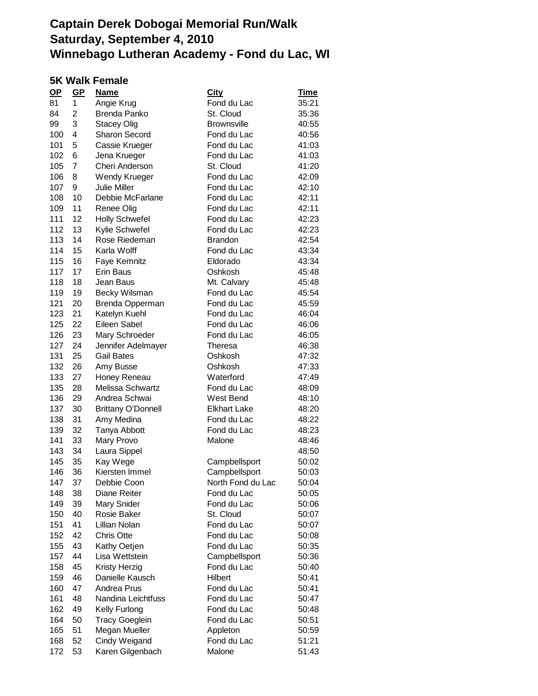### **5K Walk Female**

| <u>OP</u> | GP             | <b>Name</b>               | <b>City</b>         | <u>Time</u> |
|-----------|----------------|---------------------------|---------------------|-------------|
| 81        | 1              | Angie Krug                | Fond du Lac         | 35:21       |
| 84        | 2              | <b>Brenda Panko</b>       | St. Cloud           | 35:36       |
| 99        | 3              | <b>Stacey Olig</b>        | <b>Brownsville</b>  | 40:55       |
| 100       | 4              | Sharon Secord             | Fond du Lac         | 40:56       |
| 101       | 5              | Cassie Krueger            | Fond du Lac         | 41:03       |
| 102       | 6              | Jena Krueger              | Fond du Lac         | 41:03       |
| 105       | $\overline{7}$ | Cheri Anderson            | St. Cloud           | 41:20       |
| 106       | 8              | Wendy Krueger             | Fond du Lac         | 42:09       |
| 107       | 9              | <b>Julie Miller</b>       | Fond du Lac         | 42:10       |
| 108       | 10             | Debbie McFarlane          | Fond du Lac         | 42:11       |
| 109       | 11             | Renee Olig                | Fond du Lac         | 42:11       |
| 111       | 12             | <b>Holly Schwefel</b>     | Fond du Lac         | 42:23       |
| 112       | 13             | Kylie Schwefel            | Fond du Lac         | 42:23       |
| 113       | 14             | Rose Riedeman             | <b>Brandon</b>      | 42:54       |
| 114       | 15             | Karla Wolff               | Fond du Lac         | 43:34       |
| 115       | 16             | Faye Kemnitz              | Eldorado            | 43:34       |
| 117       | 17             | Erin Baus                 | Oshkosh             | 45:48       |
| 118       | 18             | Jean Baus                 | Mt. Calvary         | 45:48       |
| 119       | 19             | Becky Wilsman             | Fond du Lac         | 45:54       |
| 121       | 20             | Brenda Opperman           | Fond du Lac         | 45:59       |
| 123       | 21             | Katelyn Kuehl             | Fond du Lac         | 46:04       |
| 125       | 22             | Eileen Sabel              | Fond du Lac         | 46:06       |
| 126       | 23             | Mary Schroeder            | Fond du Lac         | 46:05       |
| 127       | 24             | Jennifer Adelmayer        | Theresa             | 46:38       |
| 131       | 25             | <b>Gail Bates</b>         | Oshkosh             | 47:32       |
| 132       | 26             | Amy Busse                 | Oshkosh             | 47:33       |
| 133       | 27             | Honey Reneau              | Waterford           | 47:49       |
| 135       | 28             | Melissa Schwartz          | Fond du Lac         | 48:09       |
| 136       | 29             | Andrea Schwai             | West Bend           | 48:10       |
| 137       | 30             | <b>Brittany O'Donnell</b> | <b>Elkhart Lake</b> | 48:20       |
| 138       | 31             | Amy Medina                | Fond du Lac         | 48:22       |
| 139       | 32             | Tanya Abbott              | Fond du Lac         | 48:23       |
| 141       | 33             | Mary Provo                | Malone              | 48:46       |
| 143       | 34             | Laura Sippel              |                     | 48:50       |
| 145       | 35             | Kay Wege                  | Campbellsport       | 50:02       |
| 146       | 36             | Kiersten Immel            | Campbellsport       | 50:03       |
| 147       | 37             | Debbie Coon               | North Fond du Lac   | 50:04       |
| 148       | 38             | Diane Reiter              | Fond du Lac         | 50:05       |
| 149       | 39             | Mary Snider               | Fond du Lac         | 50:06       |
| 150       | 40             | Rosie Baker               | St. Cloud           | 50:07       |
| 151       | 41             | Lillian Nolan             | Fond du Lac         | 50:07       |
| 152       | 42             | <b>Chris Otte</b>         | Fond du Lac         | 50:08       |
| 155       | 43             | Kathy Oetjen              | Fond du Lac         | 50:35       |
| 157       | 44             | Lisa Wettstein            | Campbellsport       | 50:36       |
| 158       | 45             | Kristy Herzig             | Fond du Lac         | 50:40       |
| 159       | 46             | Danielle Kausch           | Hilbert             | 50:41       |
| 160       | 47             | Andrea Prus               | Fond du Lac         | 50:41       |
| 161       | 48             | Nandina Leichtfuss        | Fond du Lac         | 50:47       |
| 162       | 49             | Kelly Furlong             | Fond du Lac         | 50:48       |
| 164       | 50             | <b>Tracy Goeglein</b>     | Fond du Lac         | 50:51       |
| 165       | 51             | Megan Mueller             | Appleton            | 50:59       |
| 168       | 52             | Cindy Weigand             | Fond du Lac         | 51:21       |
|           |                |                           | Malone              | 51:43       |
| 172       | 53             | Karen Gilgenbach          |                     |             |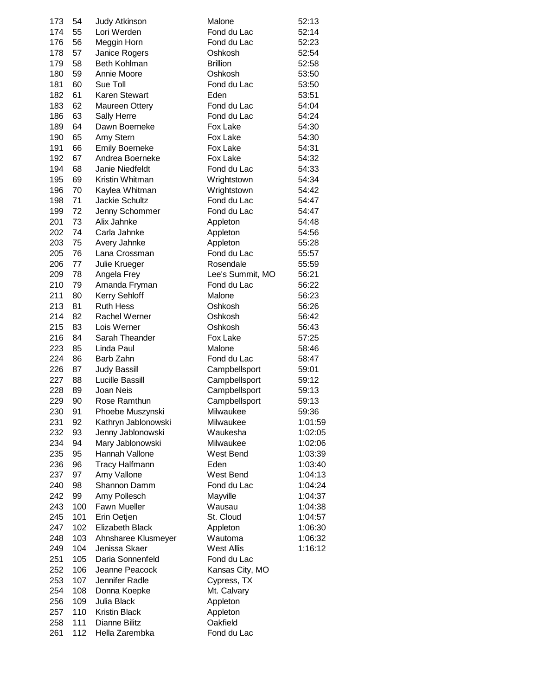| 173 | 54  | Judy Atkinson          | Malone           | 52:13   |
|-----|-----|------------------------|------------------|---------|
| 174 | 55  | Lori Werden            | Fond du Lac      | 52:14   |
| 176 | 56  | Meggin Horn            | Fond du Lac      | 52:23   |
| 178 | 57  | Janice Rogers          | Oshkosh          | 52:54   |
| 179 | 58  | Beth Kohlman           | <b>Brillion</b>  | 52:58   |
| 180 | 59  | Annie Moore            | Oshkosh          | 53:50   |
| 181 | 60  | Sue Toll               | Fond du Lac      | 53:50   |
| 182 | 61  | <b>Karen Stewart</b>   | Eden             | 53:51   |
| 183 | 62  | Maureen Ottery         | Fond du Lac      | 54:04   |
|     |     |                        |                  |         |
| 186 | 63  | Sally Herre            | Fond du Lac      | 54:24   |
| 189 | 64  | Dawn Boerneke          | Fox Lake         | 54:30   |
| 190 | 65  | Amy Stern              | Fox Lake         | 54:30   |
| 191 | 66  | <b>Emily Boerneke</b>  | Fox Lake         | 54:31   |
| 192 | 67  | Andrea Boerneke        | Fox Lake         | 54:32   |
| 194 | 68  | Janie Niedfeldt        | Fond du Lac      | 54:33   |
| 195 | 69  | Kristin Whitman        | Wrightstown      | 54:34   |
| 196 | 70  | Kaylea Whitman         | Wrightstown      | 54:42   |
| 198 | 71  | Jackie Schultz         | Fond du Lac      | 54:47   |
| 199 | 72  | Jenny Schommer         | Fond du Lac      | 54:47   |
| 201 | 73  | Alix Jahnke            | Appleton         | 54:48   |
| 202 | 74  | Carla Jahnke           | Appleton         | 54:56   |
| 203 | 75  | Avery Jahnke           | Appleton         | 55:28   |
| 205 | 76  | Lana Crossman          | Fond du Lac      | 55:57   |
| 206 | 77  | Julie Krueger          | Rosendale        | 55:59   |
|     |     |                        |                  |         |
| 209 | 78  | Angela Frey            | Lee's Summit, MO | 56:21   |
| 210 | 79  | Amanda Fryman          | Fond du Lac      | 56:22   |
| 211 | 80  | Kerry Sehloff          | Malone           | 56:23   |
| 213 | 81  | <b>Ruth Hess</b>       | Oshkosh          | 56:26   |
| 214 | 82  | Rachel Werner          | Oshkosh          | 56:42   |
| 215 | 83  | Lois Werner            | Oshkosh          | 56:43   |
| 216 | 84  | Sarah Theander         | Fox Lake         | 57:25   |
| 223 | 85  | Linda Paul             | Malone           | 58:46   |
| 224 | 86  | Barb Zahn              | Fond du Lac      | 58:47   |
| 226 | 87  | <b>Judy Bassill</b>    | Campbellsport    | 59:01   |
| 227 | 88  | Lucille Bassill        | Campbellsport    | 59:12   |
| 228 | 89  | Joan Neis              | Campbellsport    | 59:13   |
| 229 | 90  | Rose Ramthun           | Campbellsport    | 59:13   |
| 230 | 91  | Phoebe Muszynski       | Milwaukee        | 59:36   |
| 231 | 92  | Kathryn Jablonowski    | Milwaukee        | 1:01:59 |
| 232 | 93  | Jenny Jablonowski      | Waukesha         | 1:02:05 |
| 234 | 94  | Mary Jablonowski       | Milwaukee        | 1:02:06 |
| 235 | 95  | Hannah Vallone         | West Bend        | 1:03:39 |
|     | 96  |                        | Eden             |         |
| 236 |     | <b>Tracy Halfmann</b>  |                  | 1:03:40 |
| 237 | 97  | Amy Vallone            | West Bend        | 1:04:13 |
| 240 | 98  | Shannon Damm           | Fond du Lac      | 1:04:24 |
| 242 | 99  | Amy Pollesch           | Mayville         | 1:04:37 |
| 243 | 100 | <b>Fawn Mueller</b>    | Wausau           | 1:04:38 |
| 245 | 101 | Erin Oetjen            | St. Cloud        | 1:04:57 |
| 247 | 102 | <b>Elizabeth Black</b> | Appleton         | 1:06:30 |
| 248 | 103 | Ahnsharee Klusmeyer    | Wautoma          | 1:06:32 |
| 249 | 104 | Jenissa Skaer          | West Allis       | 1:16:12 |
| 251 | 105 | Daria Sonnenfeld       | Fond du Lac      |         |
| 252 | 106 | Jeanne Peacock         | Kansas City, MO  |         |
| 253 | 107 | Jennifer Radle         | Cypress, TX      |         |
| 254 | 108 | Donna Koepke           | Mt. Calvary      |         |
| 256 | 109 | Julia Black            | Appleton         |         |
| 257 | 110 | <b>Kristin Black</b>   | Appleton         |         |
| 258 | 111 | Dianne Bilitz          | Oakfield         |         |
| 261 | 112 | Hella Zarembka         |                  |         |
|     |     |                        | Fond du Lac      |         |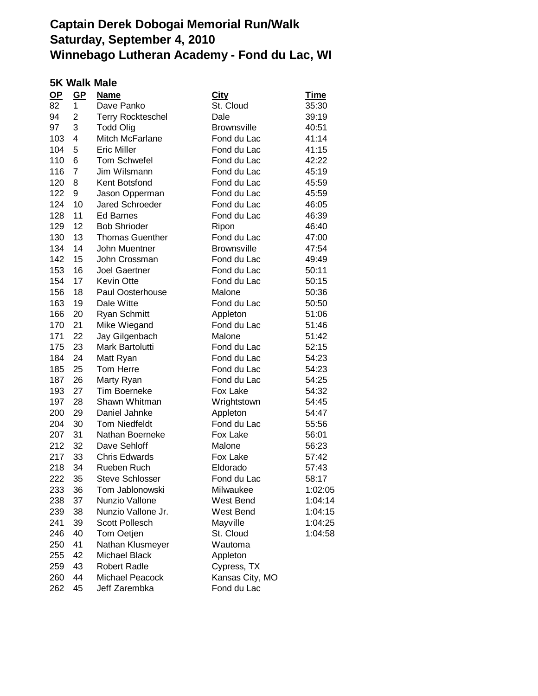### **5K Walk Male**

| $OP$ | $GP$           | <b>Name</b>              | <b>City</b>        | <b>Time</b> |
|------|----------------|--------------------------|--------------------|-------------|
| 82   | 1              | Dave Panko               | St. Cloud          | 35:30       |
| 94   | $\overline{2}$ | <b>Terry Rockteschel</b> | Dale               | 39:19       |
| 97   | 3              | <b>Todd Olig</b>         | <b>Brownsville</b> | 40:51       |
| 103  | 4              | Mitch McFarlane          | Fond du Lac        | 41:14       |
| 104  | 5              | <b>Eric Miller</b>       | Fond du Lac        | 41:15       |
| 110  | 6              | <b>Tom Schwefel</b>      | Fond du Lac        | 42:22       |
| 116  | $\overline{7}$ | Jim Wilsmann             | Fond du Lac        | 45:19       |
| 120  | 8              | Kent Botsfond            | Fond du Lac        | 45:59       |
| 122  | 9              | Jason Opperman           | Fond du Lac        | 45:59       |
| 124  | 10             | Jared Schroeder          | Fond du Lac        | 46:05       |
| 128  | 11             | <b>Ed Barnes</b>         | Fond du Lac        | 46:39       |
| 129  | 12             | <b>Bob Shrioder</b>      | Ripon              | 46:40       |
| 130  | 13             | <b>Thomas Guenther</b>   | Fond du Lac        | 47:00       |
| 134  | 14             | John Muentner            | <b>Brownsville</b> | 47:54       |
| 142  | 15             | John Crossman            | Fond du Lac        | 49:49       |
| 153  | 16             | <b>Joel Gaertner</b>     | Fond du Lac        | 50:11       |
| 154  | 17             | <b>Kevin Otte</b>        | Fond du Lac        | 50:15       |
| 156  | 18             | Paul Oosterhouse         | Malone             | 50:36       |
| 163  | 19             | Dale Witte               | Fond du Lac        | 50:50       |
| 166  | 20             | <b>Ryan Schmitt</b>      | Appleton           | 51:06       |
| 170  | 21             | Mike Wiegand             | Fond du Lac        | 51:46       |
| 171  | 22             | Jay Gilgenbach           | Malone             | 51:42       |
| 175  | 23             | Mark Bartolutti          | Fond du Lac        | 52:15       |
| 184  | 24             | Matt Ryan                | Fond du Lac        | 54:23       |
| 185  | 25             | Tom Herre                | Fond du Lac        | 54:23       |
| 187  | 26             | Marty Ryan               | Fond du Lac        | 54:25       |
| 193  | 27             | <b>Tim Boerneke</b>      | Fox Lake           | 54:32       |
| 197  | 28             | Shawn Whitman            | Wrightstown        | 54:45       |
| 200  | 29             | Daniel Jahnke            | Appleton           | 54:47       |
| 204  | 30             | <b>Tom Niedfeldt</b>     | Fond du Lac        | 55:56       |
| 207  | 31             | Nathan Boerneke          | Fox Lake           | 56:01       |
| 212  | 32             | Dave Sehloff             | Malone             | 56:23       |
| 217  | 33             | <b>Chris Edwards</b>     | Fox Lake           | 57:42       |
| 218  | 34             | Rueben Ruch              | Eldorado           | 57:43       |
| 222  | 35             | <b>Steve Schlosser</b>   | Fond du Lac        | 58:17       |
| 233  | 36             | Tom Jablonowski          | Milwaukee          | 1:02:05     |
| 238  | 37             | Nunzio Vallone           | West Bend          | 1:04:14     |
| 239  | 38             | Nunzio Vallone Jr.       | West Bend          | 1:04:15     |
| 241  | 39             | Scott Pollesch           | Mayville           | 1:04:25     |
| 246  | 40             | Tom Oetjen               | St. Cloud          | 1:04:58     |
| 250  | 41             | Nathan Klusmeyer         | Wautoma            |             |
| 255  | 42             | Michael Black            | Appleton           |             |
| 259  | 43             | <b>Robert Radle</b>      | Cypress, TX        |             |
| 260  | 44             | Michael Peacock          | Kansas City, MO    |             |
| 262  | 45             | Jeff Zarembka            | Fond du Lac        |             |
|      |                |                          |                    |             |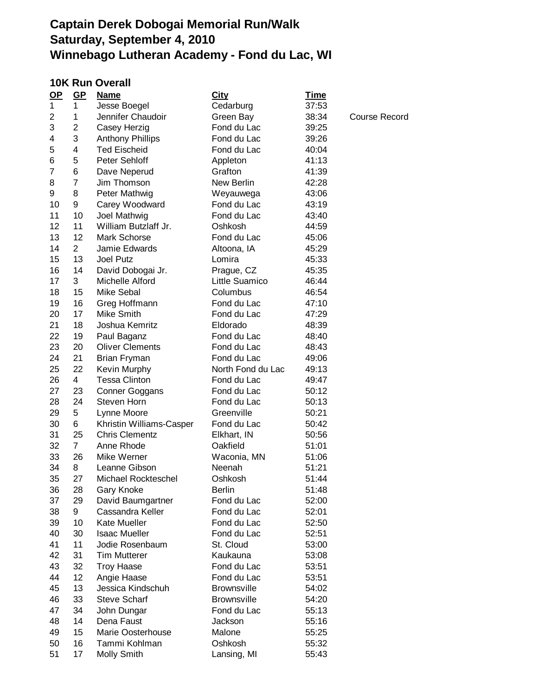#### **10K Run Overall**

| $OP$           | $GP$           | <b>Name</b>                | <b>City</b>        | <u>Time</u> |                      |
|----------------|----------------|----------------------------|--------------------|-------------|----------------------|
| 1              | 1              | Jesse Boegel               | Cedarburg          | 37:53       |                      |
| 2              | 1              | Jennifer Chaudoir          | Green Bay          | 38:34       | <b>Course Record</b> |
| 3              | $\overline{2}$ | Casey Herzig               | Fond du Lac        | 39:25       |                      |
| 4              | 3              | <b>Anthony Phillips</b>    | Fond du Lac        | 39:26       |                      |
| 5              | 4              | <b>Ted Eischeid</b>        | Fond du Lac        | 40:04       |                      |
| 6              | 5              | Peter Sehloff              | Appleton           | 41:13       |                      |
| $\overline{7}$ | 6              | Dave Neperud               | Grafton            | 41:39       |                      |
| 8              | 7              | Jim Thomson                | New Berlin         | 42:28       |                      |
| 9              | 8              | Peter Mathwig              | Weyauwega          | 43:06       |                      |
| 10             | 9              | Carey Woodward             | Fond du Lac        | 43:19       |                      |
| 11             | 10             | Joel Mathwig               | Fond du Lac        | 43:40       |                      |
| 12             | 11             | William Butzlaff Jr.       | Oshkosh            | 44:59       |                      |
| 13             | 12             | Mark Schorse               | Fond du Lac        | 45:06       |                      |
| 14             | $\overline{2}$ | Jamie Edwards              | Altoona, IA        | 45:29       |                      |
| 15             | 13             | Joel Putz                  | Lomira             | 45:33       |                      |
| 16             | 14             | David Dobogai Jr.          | Prague, CZ         | 45:35       |                      |
| 17             | 3              | Michelle Alford            | Little Suamico     | 46:44       |                      |
| 18             | 15             | <b>Mike Sebal</b>          | Columbus           | 46:54       |                      |
| 19             | 16             | Greg Hoffmann              | Fond du Lac        | 47:10       |                      |
| 20             | 17             | <b>Mike Smith</b>          | Fond du Lac        | 47:29       |                      |
| 21             | 18             | Joshua Kemritz             | Eldorado           | 48:39       |                      |
| 22             | 19             | Paul Baganz                | Fond du Lac        | 48:40       |                      |
| 23             | 20             | <b>Oliver Clements</b>     | Fond du Lac        | 48:43       |                      |
| 24             | 21             | Brian Fryman               | Fond du Lac        | 49:06       |                      |
| 25             | 22             | Kevin Murphy               | North Fond du Lac  | 49:13       |                      |
| 26             | $\overline{4}$ | <b>Tessa Clinton</b>       | Fond du Lac        | 49:47       |                      |
| 27             | 23             | <b>Conner Goggans</b>      | Fond du Lac        | 50:12       |                      |
| 28             | 24             | Steven Horn                | Fond du Lac        | 50:13       |                      |
| 29             | 5              | Lynne Moore                | Greenville         | 50:21       |                      |
| 30             | 6              | Khristin Williams-Casper   | Fond du Lac        | 50:42       |                      |
| 31             | 25             | <b>Chris Clementz</b>      | Elkhart, IN        | 50:56       |                      |
| 32             | $\overline{7}$ | Anne Rhode                 | Oakfield           | 51:01       |                      |
| 33             | 26             | Mike Werner                | Waconia, MN        | 51:06       |                      |
| 34             | 8              | Leanne Gibson              | Neenah             | 51:21       |                      |
| 35             | 27             | <b>Michael Rockteschel</b> | Oshkosh            | 51:44       |                      |
| 36             | 28             | Gary Knoke                 | <b>Berlin</b>      | 51:48       |                      |
| 37             | 29             | David Baumgartner          | Fond du Lac        | 52:00       |                      |
| 38             | 9              | Cassandra Keller           | Fond du Lac        | 52:01       |                      |
| 39             | 10             | Kate Mueller               | Fond du Lac        | 52:50       |                      |
| 40             | 30             | <b>Isaac Mueller</b>       | Fond du Lac        | 52:51       |                      |
| 41             | 11             | Jodie Rosenbaum            | St. Cloud          | 53:00       |                      |
| 42             | 31             | <b>Tim Mutterer</b>        | Kaukauna           | 53:08       |                      |
| 43             | 32             | <b>Troy Haase</b>          | Fond du Lac        | 53:51       |                      |
| 44             | 12             | Angie Haase                | Fond du Lac        | 53:51       |                      |
| 45             | 13             | Jessica Kindschuh          | <b>Brownsville</b> | 54:02       |                      |
| 46             | 33             | <b>Steve Scharf</b>        | <b>Brownsville</b> | 54:20       |                      |
| 47             | 34             | John Dungar                | Fond du Lac        | 55:13       |                      |
| 48             | 14             | Dena Faust                 | Jackson            | 55:16       |                      |
| 49             | 15             | Marie Oosterhouse          | Malone             | 55:25       |                      |
| 50             | 16             | Tammi Kohlman              | Oshkosh            | 55:32       |                      |
| 51             | 17             | Molly Smith                | Lansing, MI        | 55:43       |                      |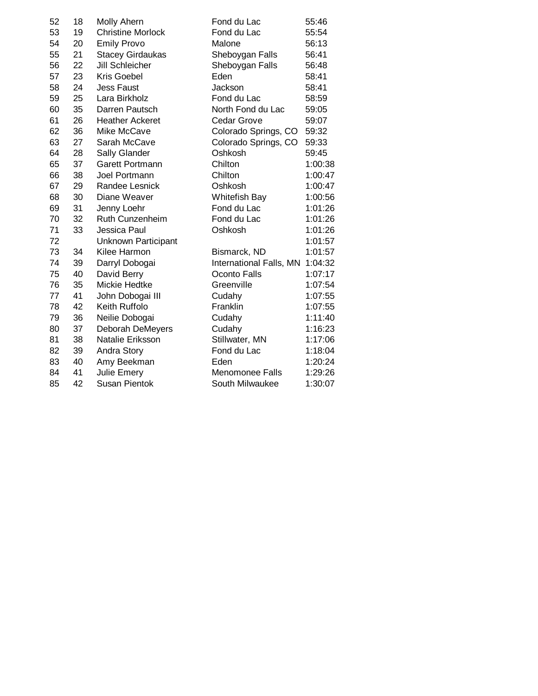| 52 | 18 | Molly Ahern              | Fond du Lac             | 55:46   |
|----|----|--------------------------|-------------------------|---------|
| 53 | 19 | <b>Christine Morlock</b> | Fond du Lac             | 55:54   |
| 54 | 20 | <b>Emily Provo</b>       | Malone                  | 56:13   |
| 55 | 21 | <b>Stacey Girdaukas</b>  | Sheboygan Falls         | 56:41   |
| 56 | 22 | Jill Schleicher          | Sheboygan Falls         | 56:48   |
| 57 | 23 | <b>Kris Goebel</b>       | Eden                    | 58:41   |
| 58 | 24 | <b>Jess Faust</b>        | Jackson                 | 58:41   |
| 59 | 25 | Lara Birkholz            | Fond du Lac             | 58:59   |
| 60 | 35 | Darren Pautsch           | North Fond du Lac       | 59:05   |
| 61 | 26 | <b>Heather Ackeret</b>   | Cedar Grove             | 59:07   |
| 62 | 36 | Mike McCave              | Colorado Springs, CO    | 59:32   |
| 63 | 27 | Sarah McCave             | Colorado Springs, CO    | 59:33   |
| 64 | 28 | Sally Glander            | Oshkosh                 | 59:45   |
| 65 | 37 | <b>Garett Portmann</b>   | Chilton                 | 1:00:38 |
| 66 | 38 | Joel Portmann            | Chilton                 | 1:00:47 |
| 67 | 29 | Randee Lesnick           | Oshkosh                 | 1:00:47 |
| 68 | 30 | Diane Weaver             | Whitefish Bay           | 1:00:56 |
| 69 | 31 | Jenny Loehr              | Fond du Lac             | 1:01:26 |
| 70 | 32 | Ruth Cunzenheim          | Fond du Lac             | 1:01:26 |
| 71 | 33 | Jessica Paul             | Oshkosh                 | 1:01:26 |
| 72 |    | Unknown Participant      |                         | 1:01:57 |
| 73 | 34 | Kilee Harmon             | Bismarck, ND            | 1:01:57 |
| 74 | 39 | Darryl Dobogai           | International Falls, MN | 1:04:32 |
| 75 | 40 | David Berry              | Oconto Falls            | 1:07:17 |
| 76 | 35 | Mickie Hedtke            | Greenville              | 1:07:54 |
| 77 | 41 | John Dobogai III         | Cudahy                  | 1:07:55 |
| 78 | 42 | Keith Ruffolo            | Franklin                | 1:07:55 |
| 79 | 36 | Neilie Dobogai           | Cudahy                  | 1:11:40 |
| 80 | 37 | Deborah DeMeyers         | Cudahy                  | 1:16:23 |
| 81 | 38 | Natalie Eriksson         | Stillwater, MN          | 1:17:06 |
| 82 | 39 | Andra Story              | Fond du Lac             | 1:18:04 |
| 83 | 40 | Amy Beekman              | Eden                    | 1:20:24 |
| 84 | 41 | Julie Emery              | <b>Menomonee Falls</b>  | 1:29:26 |
| 85 | 42 | <b>Susan Pientok</b>     | South Milwaukee         | 1:30:07 |
|    |    |                          |                         |         |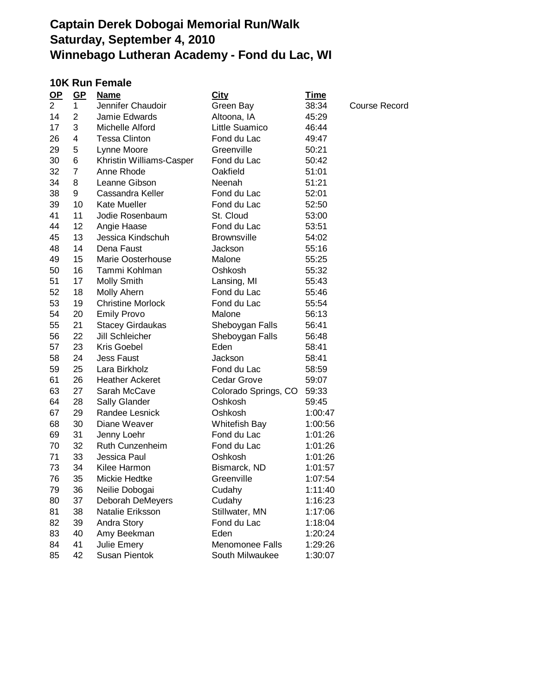#### **10K Run Female**

| $OP$           | $GP$           | <u>Name</u>              | <b>City</b>          | <u>Time</u> |                      |
|----------------|----------------|--------------------------|----------------------|-------------|----------------------|
| $\overline{2}$ | $\mathbf{1}$   | Jennifer Chaudoir        | Green Bay            | 38:34       | <b>Course Record</b> |
| 14             | $\overline{2}$ | Jamie Edwards            | Altoona, IA          | 45:29       |                      |
| 17             | 3              | Michelle Alford          | Little Suamico       | 46:44       |                      |
| 26             | 4              | <b>Tessa Clinton</b>     | Fond du Lac          | 49:47       |                      |
| 29             | 5              | Lynne Moore              | Greenville           | 50:21       |                      |
| 30             | 6              | Khristin Williams-Casper | Fond du Lac          | 50:42       |                      |
| 32             | 7              | Anne Rhode               | Oakfield             | 51:01       |                      |
| 34             | 8              | Leanne Gibson            | Neenah               | 51:21       |                      |
| 38             | 9              | Cassandra Keller         | Fond du Lac          | 52:01       |                      |
| 39             | 10             | <b>Kate Mueller</b>      | Fond du Lac          | 52:50       |                      |
| 41             | 11             | Jodie Rosenbaum          | St. Cloud            | 53:00       |                      |
| 44             | 12             | Angie Haase              | Fond du Lac          | 53:51       |                      |
| 45             | 13             | Jessica Kindschuh        | <b>Brownsville</b>   | 54:02       |                      |
| 48             | 14             | Dena Faust               | Jackson              | 55:16       |                      |
| 49             | 15             | <b>Marie Oosterhouse</b> | Malone               | 55:25       |                      |
| 50             | 16             | Tammi Kohlman            | Oshkosh              | 55:32       |                      |
| 51             | 17             | Molly Smith              | Lansing, MI          | 55:43       |                      |
| 52             | 18             | Molly Ahern              | Fond du Lac          | 55:46       |                      |
| 53             | 19             | <b>Christine Morlock</b> | Fond du Lac          | 55:54       |                      |
| 54             | 20             | <b>Emily Provo</b>       | Malone               | 56:13       |                      |
| 55             | 21             | <b>Stacey Girdaukas</b>  | Sheboygan Falls      | 56:41       |                      |
| 56             | 22             | Jill Schleicher          | Sheboygan Falls      | 56:48       |                      |
| 57             | 23             | Kris Goebel              | Eden                 | 58:41       |                      |
| 58             | 24             | <b>Jess Faust</b>        | Jackson              | 58:41       |                      |
| 59             | 25             | Lara Birkholz            | Fond du Lac          | 58:59       |                      |
| 61             | 26             | <b>Heather Ackeret</b>   | Cedar Grove          | 59:07       |                      |
| 63             | 27             | Sarah McCave             | Colorado Springs, CO | 59:33       |                      |
| 64             | 28             | Sally Glander            | Oshkosh              | 59:45       |                      |
| 67             | 29             | Randee Lesnick           | Oshkosh              | 1:00:47     |                      |
| 68             | 30             | Diane Weaver             | Whitefish Bay        | 1:00:56     |                      |
| 69             | 31             | Jenny Loehr              | Fond du Lac          | 1:01:26     |                      |
| 70             | 32             | <b>Ruth Cunzenheim</b>   | Fond du Lac          | 1:01:26     |                      |
| 71             | 33             | Jessica Paul             | Oshkosh              | 1:01:26     |                      |
| 73             | 34             | Kilee Harmon             | Bismarck, ND         | 1:01:57     |                      |
| 76             | 35             | Mickie Hedtke            | Greenville           | 1:07:54     |                      |
| 79             | 36             | Neilie Dobogai           | Cudahy               | 1:11:40     |                      |
| 80             | 37             | Deborah DeMeyers         | Cudahy               | 1:16:23     |                      |
| 81             | 38             | Natalie Eriksson         | Stillwater, MN       | 1:17:06     |                      |
| 82             | 39             | Andra Story              | Fond du Lac          | 1:18:04     |                      |
| 83             | 40             | Amy Beekman              | Eden                 | 1:20:24     |                      |
| 84             | 41             | Julie Emery              | Menomonee Falls      | 1:29:26     |                      |
| 85             | 42             | Susan Pientok            | South Milwaukee      | 1:30:07     |                      |
|                |                |                          |                      |             |                      |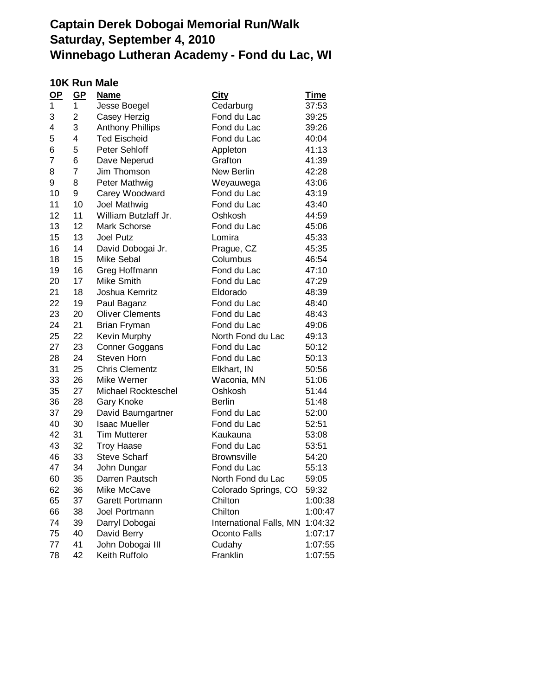### **10K Run Male**

| $\mathbf{Q}$ | GP             | <b>Name</b>             | <b>City</b>             | <b>Time</b> |
|--------------|----------------|-------------------------|-------------------------|-------------|
| 1            | 1              | Jesse Boegel            | Cedarburg               | 37:53       |
| 3            | 2              | Casey Herzig            | Fond du Lac             | 39:25       |
| 4            | 3              | <b>Anthony Phillips</b> | Fond du Lac             | 39:26       |
| 5            | 4              | <b>Ted Eischeid</b>     | Fond du Lac             | 40:04       |
| 6            | 5              | Peter Sehloff           | Appleton                | 41:13       |
| 7            | 6              | Dave Neperud            | Grafton                 | 41:39       |
| 8            | $\overline{7}$ | Jim Thomson             | New Berlin              | 42:28       |
| 9            | 8              | Peter Mathwig           | Weyauwega               | 43:06       |
| 10           | 9              | Carey Woodward          | Fond du Lac             | 43:19       |
| 11           | 10             | Joel Mathwig            | Fond du Lac             | 43:40       |
| 12           | 11             | William Butzlaff Jr.    | Oshkosh                 | 44:59       |
| 13           | 12             | Mark Schorse            | Fond du Lac             | 45:06       |
| 15           | 13             | <b>Joel Putz</b>        | Lomira                  | 45:33       |
| 16           | 14             | David Dobogai Jr.       | Prague, CZ              | 45:35       |
| 18           | 15             | <b>Mike Sebal</b>       | Columbus                | 46:54       |
| 19           | 16             | Greg Hoffmann           | Fond du Lac             | 47:10       |
| 20           | 17             | <b>Mike Smith</b>       | Fond du Lac             | 47:29       |
| 21           | 18             | Joshua Kemritz          | Eldorado                | 48:39       |
| 22           | 19             | Paul Baganz             | Fond du Lac             | 48:40       |
| 23           | 20             | <b>Oliver Clements</b>  | Fond du Lac             | 48:43       |
| 24           | 21             | <b>Brian Fryman</b>     | Fond du Lac             | 49:06       |
| 25           | 22             | Kevin Murphy            | North Fond du Lac       | 49:13       |
| 27           | 23             | Conner Goggans          | Fond du Lac             | 50:12       |
| 28           | 24             | Steven Horn             | Fond du Lac             | 50:13       |
| 31           | 25             | <b>Chris Clementz</b>   | Elkhart, IN             | 50:56       |
| 33           | 26             | Mike Werner             | Waconia, MN             | 51:06       |
| 35           | 27             | Michael Rockteschel     | Oshkosh                 | 51:44       |
| 36           | 28             | Gary Knoke              | <b>Berlin</b>           | 51:48       |
| 37           | 29             | David Baumgartner       | Fond du Lac             | 52:00       |
| 40           | 30             | <b>Isaac Mueller</b>    | Fond du Lac             | 52:51       |
| 42           | 31             | <b>Tim Mutterer</b>     | Kaukauna                | 53:08       |
| 43           | 32             | <b>Troy Haase</b>       | Fond du Lac             | 53:51       |
| 46           | 33             | <b>Steve Scharf</b>     | <b>Brownsville</b>      | 54:20       |
| 47           | 34             | John Dungar             | Fond du Lac             | 55:13       |
| 60           | 35             | Darren Pautsch          | North Fond du Lac       | 59:05       |
| 62           | 36             | Mike McCave             | Colorado Springs, CO    | 59:32       |
| 65           | 37             | Garett Portmann         | Chilton                 | 1:00:38     |
| 66           | 38             | Joel Portmann           | Chilton                 | 1:00:47     |
| 74           | 39             | Darryl Dobogai          | International Falls, MN | 1:04:32     |
| 75           | 40             | David Berry             | Oconto Falls            | 1:07:17     |
| 77           | 41             | John Dobogai III        | Cudahy                  | 1:07:55     |
| 78           | 42             | Keith Ruffolo           | Franklin                | 1:07:55     |
|              |                |                         |                         |             |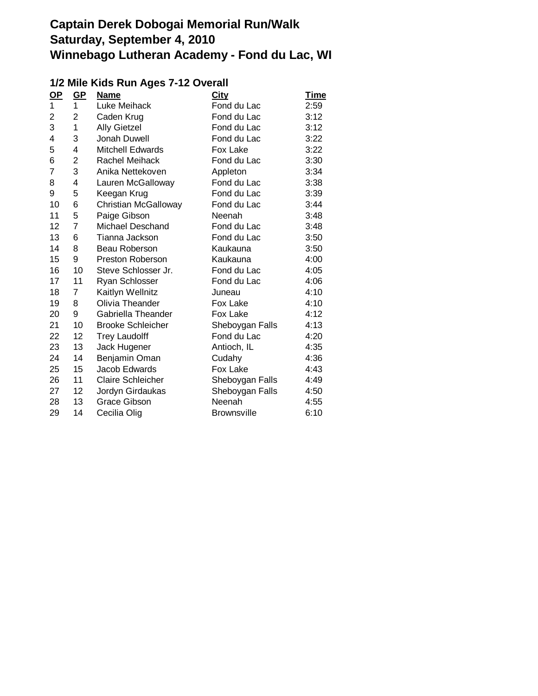### **1/2 Mile Kids Run Ages 7-12 Overall**

| $\mathbf{Q}$ | <u>GP</u>      | <b>Name</b>              | <b>City</b>        | <u>Time</u> |
|--------------|----------------|--------------------------|--------------------|-------------|
| 1            | 1              | Luke Meihack             | Fond du Lac        | 2:59        |
| 2            | $\overline{2}$ | Caden Krug               | Fond du Lac        | 3:12        |
| 3            | 1              | <b>Ally Gietzel</b>      | Fond du Lac        | 3:12        |
| 4            | 3              | Jonah Duwell             | Fond du Lac        | 3:22        |
| 5            | 4              | <b>Mitchell Edwards</b>  | Fox Lake           | 3:22        |
| 6            | 2              | Rachel Meihack           | Fond du Lac        | 3:30        |
| 7            | 3              | Anika Nettekoven         | Appleton           | 3:34        |
| 8            | 4              | Lauren McGalloway        | Fond du Lac        | 3:38        |
| 9            | 5              | Keegan Krug              | Fond du Lac        | 3:39        |
| 10           | 6              | Christian McGalloway     | Fond du Lac        | 3:44        |
| 11           | 5              | Paige Gibson             | Neenah             | 3:48        |
| 12           | $\overline{7}$ | <b>Michael Deschand</b>  | Fond du Lac        | 3:48        |
| 13           | 6              | Tianna Jackson           | Fond du Lac        | 3:50        |
| 14           | 8              | Beau Roberson            | Kaukauna           | 3:50        |
| 15           | 9              | <b>Preston Roberson</b>  | Kaukauna           | 4:00        |
| 16           | 10             | Steve Schlosser Jr.      | Fond du Lac        | 4:05        |
| 17           | 11             | <b>Ryan Schlosser</b>    | Fond du Lac        | 4:06        |
| 18           | 7              | Kaitlyn Wellnitz         | Juneau             | 4:10        |
| 19           | 8              | Olivia Theander          | Fox Lake           | 4:10        |
| 20           | 9              | Gabriella Theander       | Fox Lake           | 4:12        |
| 21           | 10             | <b>Brooke Schleicher</b> | Sheboygan Falls    | 4:13        |
| 22           | 12             | <b>Trey Laudolff</b>     | Fond du Lac        | 4:20        |
| 23           | 13             | Jack Hugener             | Antioch, IL        | 4:35        |
| 24           | 14             | Benjamin Oman            | Cudahy             | 4:36        |
| 25           | 15             | Jacob Edwards            | Fox Lake           | 4:43        |
| 26           | 11             | <b>Claire Schleicher</b> | Sheboygan Falls    | 4:49        |
| 27           | 12             | Jordyn Girdaukas         | Sheboygan Falls    | 4:50        |
| 28           | 13             | <b>Grace Gibson</b>      | Neenah             | 4:55        |
| 29           | 14             | Cecilia Olig             | <b>Brownsville</b> | 6:10        |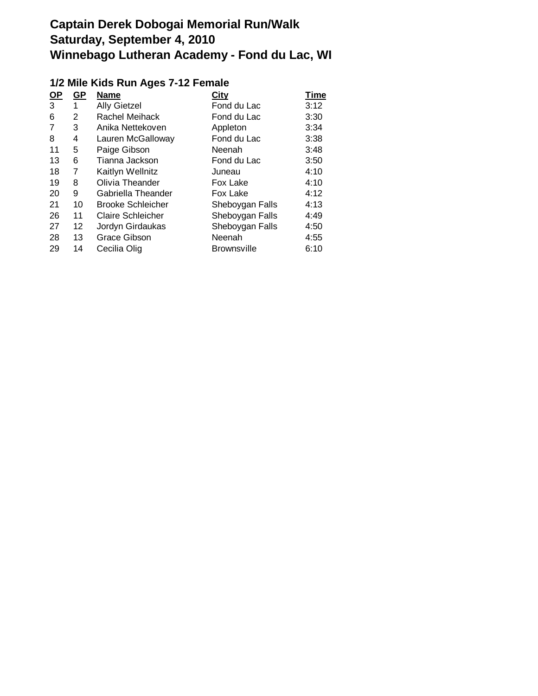### **1/2 Mile Kids Run Ages 7-12 Female**

| <u>OP</u> | GP                | <b>Name</b>              | City               | Time |
|-----------|-------------------|--------------------------|--------------------|------|
| 3         | 1                 | <b>Ally Gietzel</b>      | Fond du Lac        | 3:12 |
| 6         | 2                 | Rachel Meihack           | Fond du Lac        | 3:30 |
| 7         | 3                 | Anika Nettekoven         | Appleton           | 3:34 |
| 8         | 4                 | Lauren McGalloway        | Fond du Lac        | 3:38 |
| 11        | 5                 | Paige Gibson             | Neenah             | 3:48 |
| 13        | 6                 | Tianna Jackson           | Fond du Lac        | 3:50 |
| 18        | 7                 | Kaitlyn Wellnitz         | Juneau             | 4:10 |
| 19        | 8                 | Olivia Theander          | Fox Lake           | 4:10 |
| 20        | 9                 | Gabriella Theander       | Fox Lake           | 4:12 |
| 21        | 10                | <b>Brooke Schleicher</b> | Sheboygan Falls    | 4:13 |
| 26        | 11                | <b>Claire Schleicher</b> | Sheboygan Falls    | 4:49 |
| 27        | $12 \overline{ }$ | Jordyn Girdaukas         | Sheboygan Falls    | 4:50 |
| 28        | 13                | Grace Gibson             | Neenah             | 4:55 |
| 29        | 14                | Cecilia Olig             | <b>Brownsville</b> | 6:10 |
|           |                   |                          |                    |      |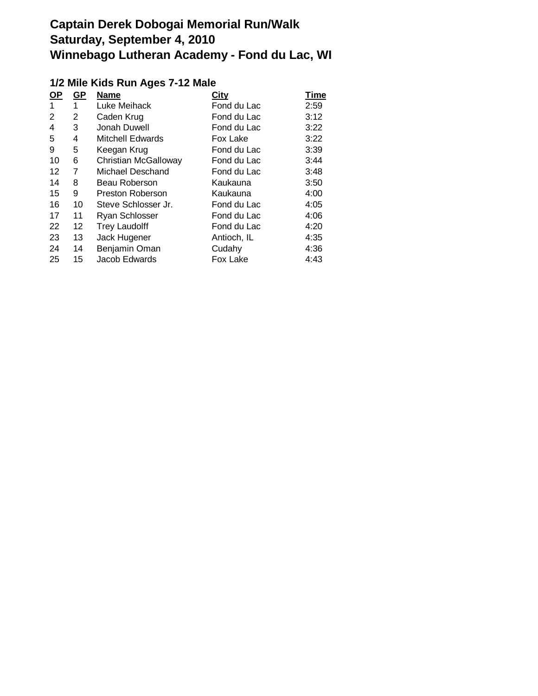### **1/2 Mile Kids Run Ages 7-12 Male**

| <u>OP</u> | <u>GP</u> | <b>Name</b>                 | <b>City</b> | Time |
|-----------|-----------|-----------------------------|-------------|------|
| 1         | 1         | Luke Meihack                | Fond du Lac | 2:59 |
| 2         | 2         | Caden Krug                  | Fond du Lac | 3:12 |
| 4         | 3         | Jonah Duwell                | Fond du Lac | 3:22 |
| 5         | 4         | <b>Mitchell Edwards</b>     | Fox Lake    | 3:22 |
| 9         | 5         | Keegan Krug                 | Fond du Lac | 3:39 |
| 10        | 6         | <b>Christian McGalloway</b> | Fond du Lac | 3:44 |
| 12        | 7         | Michael Deschand            | Fond du Lac | 3:48 |
| 14        | 8         | Beau Roberson               | Kaukauna    | 3:50 |
| 15        | 9         | <b>Preston Roberson</b>     | Kaukauna    | 4:00 |
| 16        | 10        | Steve Schlosser Jr.         | Fond du Lac | 4:05 |
| 17        | 11        | Ryan Schlosser              | Fond du Lac | 4:06 |
| 22        | 12        | <b>Trey Laudolff</b>        | Fond du Lac | 4:20 |
| 23        | 13        | Jack Hugener                | Antioch, IL | 4:35 |
| 24        | 14        | Benjamin Oman               | Cudahy      | 4:36 |
| 25        | 15        | Jacob Edwards               | Fox Lake    | 4:43 |
|           |           |                             |             |      |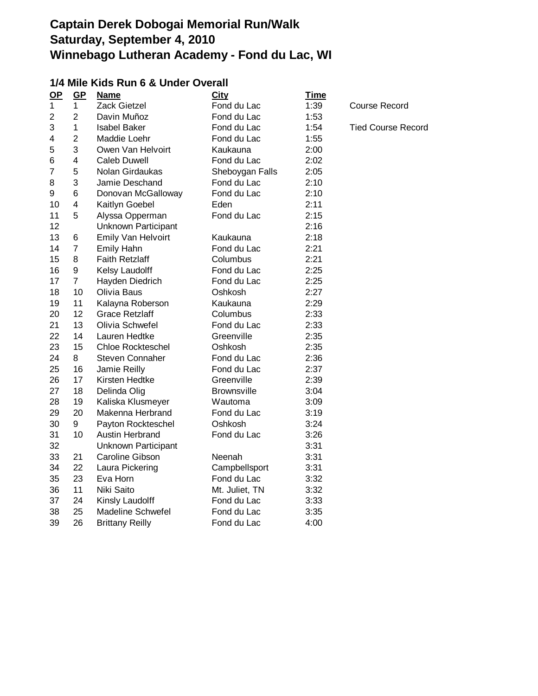### **1/4 Mile Kids Run 6 & Under Overall**

| $\mathbf{Q}$   | $GP$                    | <b>Name</b>                | City               | <b>Time</b> |                           |
|----------------|-------------------------|----------------------------|--------------------|-------------|---------------------------|
| $\mathbf{1}$   | 1                       | Zack Gietzel               | Fond du Lac        | 1:39        | <b>Course Record</b>      |
| $\overline{2}$ | $\overline{2}$          | Davin Muñoz                | Fond du Lac        | 1:53        |                           |
| 3              | 1                       | <b>Isabel Baker</b>        | Fond du Lac        | 1:54        | <b>Tied Course Record</b> |
| 4              | $\overline{2}$          | Maddie Loehr               | Fond du Lac        | 1:55        |                           |
| 5              | 3                       | Owen Van Helvoirt          | Kaukauna           | 2:00        |                           |
| 6              | $\overline{\mathbf{4}}$ | <b>Caleb Duwell</b>        | Fond du Lac        | 2:02        |                           |
| $\overline{7}$ | 5                       | Nolan Girdaukas            | Sheboygan Falls    | 2:05        |                           |
| 8              | 3                       | Jamie Deschand             | Fond du Lac        | 2:10        |                           |
| 9              | 6                       | Donovan McGalloway         | Fond du Lac        | 2:10        |                           |
| 10             | 4                       | Kaitlyn Goebel             | Eden               | 2:11        |                           |
| 11             | 5                       | Alyssa Opperman            | Fond du Lac        | 2:15        |                           |
| 12             |                         | <b>Unknown Participant</b> |                    | 2:16        |                           |
| 13             | 6                       | Emily Van Helvoirt         | Kaukauna           | 2:18        |                           |
| 14             | $\overline{7}$          | Emily Hahn                 | Fond du Lac        | 2:21        |                           |
| 15             | 8                       | <b>Faith Retzlaff</b>      | Columbus           | 2:21        |                           |
| 16             | 9                       | Kelsy Laudolff             | Fond du Lac        | 2:25        |                           |
| 17             | $\overline{7}$          | Hayden Diedrich            | Fond du Lac        | 2:25        |                           |
| 18             | 10                      | Olivia Baus                | Oshkosh            | 2:27        |                           |
| 19             | 11                      | Kalayna Roberson           | Kaukauna           | 2:29        |                           |
| 20             | 12                      | <b>Grace Retzlaff</b>      | Columbus           | 2:33        |                           |
| 21             | 13                      | Olivia Schwefel            | Fond du Lac        | 2:33        |                           |
| 22             | 14                      | Lauren Hedtke              | Greenville         | 2:35        |                           |
| 23             | 15                      | <b>Chloe Rockteschel</b>   | Oshkosh            | 2:35        |                           |
| 24             | 8                       | <b>Steven Connaher</b>     | Fond du Lac        | 2:36        |                           |
| 25             | 16                      | Jamie Reilly               | Fond du Lac        | 2:37        |                           |
| 26             | 17                      | Kirsten Hedtke             | Greenville         | 2:39        |                           |
| 27             | 18                      | Delinda Olig               | <b>Brownsville</b> | 3:04        |                           |
| 28             | 19                      | Kaliska Klusmeyer          | Wautoma            | 3:09        |                           |
| 29             | 20                      | Makenna Herbrand           | Fond du Lac        | 3:19        |                           |
| 30             | 9                       | Payton Rockteschel         | Oshkosh            | 3:24        |                           |
| 31             | 10                      | <b>Austin Herbrand</b>     | Fond du Lac        | 3:26        |                           |
| 32             |                         | <b>Unknown Participant</b> |                    | 3:31        |                           |
| 33             | 21                      | Caroline Gibson            | Neenah             | 3:31        |                           |
| 34             | 22                      | Laura Pickering            | Campbellsport      | 3:31        |                           |
| 35             | 23                      | Eva Horn                   | Fond du Lac        | 3:32        |                           |
| 36             | 11                      | Niki Saito                 | Mt. Juliet, TN     | 3:32        |                           |
| 37             | 24                      | Kinsly Laudolff            | Fond du Lac        | 3:33        |                           |
| 38             | 25                      | <b>Madeline Schwefel</b>   | Fond du Lac        | 3:35        |                           |
| 39             | 26                      | <b>Brittany Reilly</b>     | Fond du Lac        | 4:00        |                           |
|                |                         |                            |                    |             |                           |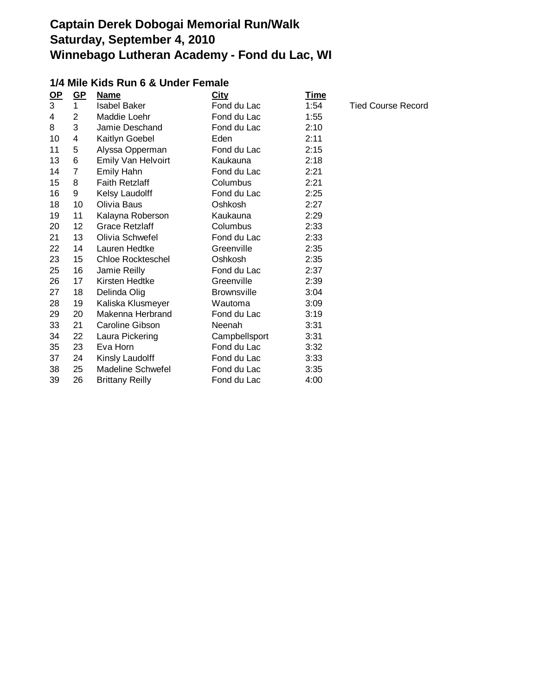### **1/4 Mile Kids Run 6 & Under Female**

| $OP$ | $GP$           | <b>Name</b>              | <b>City</b>        | <b>Time</b> |                           |
|------|----------------|--------------------------|--------------------|-------------|---------------------------|
| 3    | 1              | <b>Isabel Baker</b>      | Fond du Lac        | 1:54        | <b>Tied Course Record</b> |
| 4    | $\overline{2}$ | Maddie Loehr             | Fond du Lac        | 1:55        |                           |
| 8    | 3              | Jamie Deschand           | Fond du Lac        | 2:10        |                           |
| 10   | 4              | Kaitlyn Goebel           | Eden               | 2:11        |                           |
| 11   | 5              | Alyssa Opperman          | Fond du Lac        | 2:15        |                           |
| 13   | 6              | Emily Van Helvoirt       | Kaukauna           | 2:18        |                           |
| 14   | 7              | Emily Hahn               | Fond du Lac        | 2:21        |                           |
| 15   | 8              | <b>Faith Retzlaff</b>    | Columbus           | 2:21        |                           |
| 16   | 9              | Kelsy Laudolff           | Fond du Lac        | 2:25        |                           |
| 18   | 10             | Olivia Baus              | Oshkosh            | 2:27        |                           |
| 19   | 11             | Kalayna Roberson         | Kaukauna           | 2:29        |                           |
| 20   | 12             | <b>Grace Retzlaff</b>    | Columbus           | 2:33        |                           |
| 21   | 13             | Olivia Schwefel          | Fond du Lac        | 2:33        |                           |
| 22   | 14             | Lauren Hedtke            | Greenville         | 2:35        |                           |
| 23   | 15             | <b>Chloe Rockteschel</b> | Oshkosh            | 2:35        |                           |
| 25   | 16             | Jamie Reilly             | Fond du Lac        | 2:37        |                           |
| 26   | 17             | Kirsten Hedtke           | Greenville         | 2:39        |                           |
| 27   | 18             | Delinda Olig             | <b>Brownsville</b> | 3:04        |                           |
| 28   | 19             | Kaliska Klusmeyer        | Wautoma            | 3:09        |                           |
| 29   | 20             | Makenna Herbrand         | Fond du Lac        | 3:19        |                           |
| 33   | 21             | <b>Caroline Gibson</b>   | <b>Neenah</b>      | 3:31        |                           |
| 34   | 22             | Laura Pickering          | Campbellsport      | 3:31        |                           |
| 35   | 23             | Eva Horn                 | Fond du Lac        | 3:32        |                           |
| 37   | 24             | Kinsly Laudolff          | Fond du Lac        | 3:33        |                           |
| 38   | 25             | Madeline Schwefel        | Fond du Lac        | 3:35        |                           |
| 39   | 26             | <b>Brittany Reilly</b>   | Fond du Lac        | 4:00        |                           |